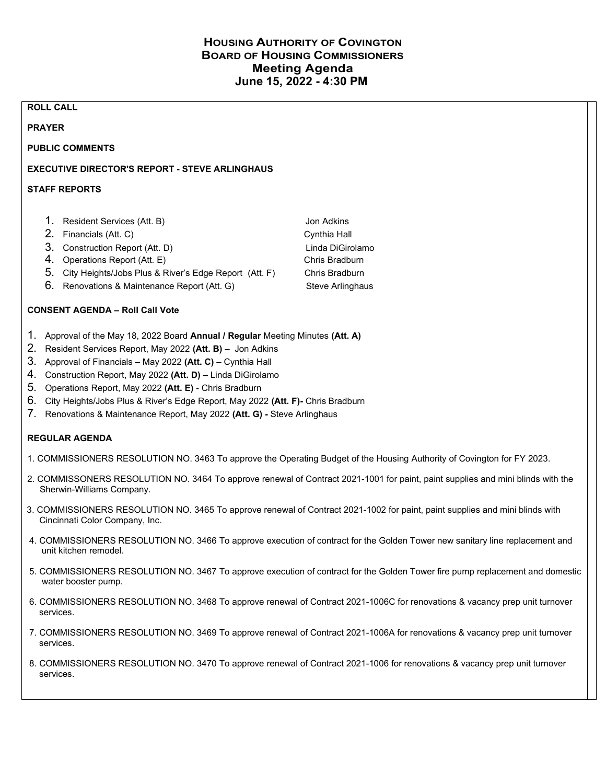## HOUSING AUTHORITY OF COVINGTON BOARD OF HOUSING COMMISSIONERS Meeting Agenda June 15, 2022 - 4:30 PM

#### ROLL CALL

#### PRAYER

PUBLIC COMMENTS

### EXECUTIVE DIRECTOR'S REPORT - STEVE ARLINGHAUS

#### STAFF REPORTS

- 1. Resident Services (Att. B) Solution Contract Contract Adviser Jon Adkins
- 2. Financials (Att. C) Cynthia Hall
- 3. Construction Report (Att. D) Linda DiGirolamo
- 4. Operations Report (Att. E) Chris Bradburn
- 5. City Heights/Jobs Plus & River's Edge Report (Att. F) Chris Bradburn
- 6. Renovations & Maintenance Report (Att. G) Steve Arlinghaus

### CONSENT AGENDA – Roll Call Vote

- 1. Approval of the May 18, 2022 Board Annual / Regular Meeting Minutes (Att. A)
- 2. Resident Services Report, May 2022 (Att. B) Jon Adkins
- 3. Approval of Financials May 2022 (Att. C) Cynthia Hall
- 4. Construction Report, May 2022 (Att. D) Linda DiGirolamo
- 5. Operations Report, May 2022 (Att. E) Chris Bradburn
- 6. City Heights/Jobs Plus & River's Edge Report, May 2022 (Att. F)- Chris Bradburn
- 7. Renovations & Maintenance Report, May 2022 (Att. G) Steve Arlinghaus

#### REGULAR AGENDA

- 1. COMMISSIONERS RESOLUTION NO. 3463 To approve the Operating Budget of the Housing Authority of Covington for FY 2023.
- 2. COMMISSONERS RESOLUTION NO. 3464 To approve renewal of Contract 2021-1001 for paint, paint supplies and mini blinds with the Sherwin-Williams Company.
- 3. COMMISSIONERS RESOLUTION NO. 3465 To approve renewal of Contract 2021-1002 for paint, paint supplies and mini blinds with Cincinnati Color Company, Inc.
- 4. COMMISSIONERS RESOLUTION NO. 3466 To approve execution of contract for the Golden Tower new sanitary line replacement and unit kitchen remodel.
- 5. COMMISSIONERS RESOLUTION NO. 3467 To approve execution of contract for the Golden Tower fire pump replacement and domestic water booster pump.
- 6. COMMISSIONERS RESOLUTION NO. 3468 To approve renewal of Contract 2021-1006C for renovations & vacancy prep unit turnover services.
- 7. COMMISSIONERS RESOLUTION NO. 3469 To approve renewal of Contract 2021-1006A for renovations & vacancy prep unit turnover services.
- 8. COMMISSIONERS RESOLUTION NO. 3470 To approve renewal of Contract 2021-1006 for renovations & vacancy prep unit turnover services.